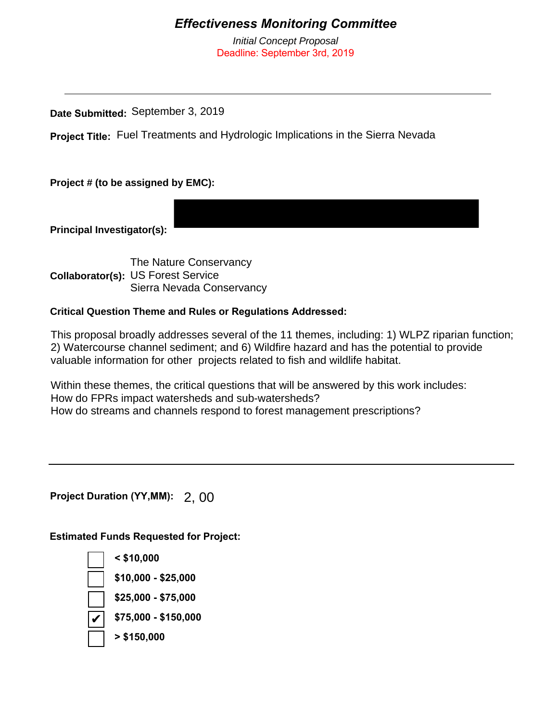## *Effectiveness Monitoring Committee*

*Initial Concept Proposal* Deadline: September 3rd, 2019

**Date Submitted:**  September 3, 2019

Project Title: Fuel Treatments and Hydrologic Implications in the Sierra Nevada

**Project # (to be assigned by EMC):**

**Principal Investigator(s):** 

**Collaborator(s):** US Forest Service The Nature Conservancy Sierra Nevada Conservancy

## **Critical Question Theme and Rules or Regulations Addressed:**

This proposal broadly addresses several of the 11 themes, including: 1) WLPZ riparian function; 2) Watercourse channel sediment; and 6) Wildfire hazard and has the potential to provide valuable information for other projects related to fish and wildlife habitat.

Within these themes, the critical questions that will be answered by this work includes: How do FPRs impact watersheds and sub-watersheds? How do streams and channels respond to forest management prescriptions?

**Project Duration (YY,MM):** 2, 00

**Estimated Funds Requested for Project:**